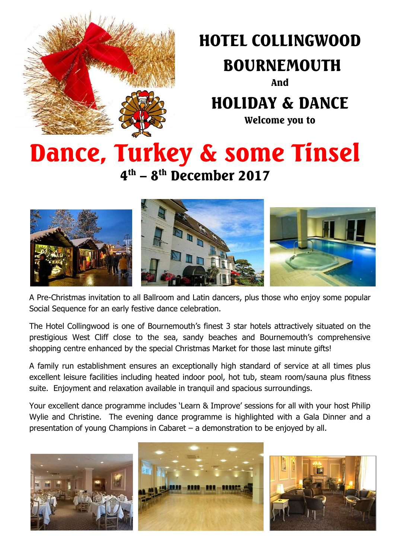

# HOTEL COLLINGWOOD

# BOURNEMOUTH

And

# HOLIDAY & DANCE

Welcome you to

# Dance, Turkey & some Tinsel

4<sup>th</sup> – 8<sup>th</sup> December 2017



A Pre-Christmas invitation to all Ballroom and Latin dancers, plus those who enjoy some popular Social Sequence for an early festive dance celebration.

The Hotel Collingwood is one of Bournemouth's finest 3 star hotels attractively situated on the prestigious West Cliff close to the sea, sandy beaches and Bournemouth's comprehensive shopping centre enhanced by the special Christmas Market for those last minute gifts!

A family run establishment ensures an exceptionally high standard of service at all times plus excellent leisure facilities including heated indoor pool, hot tub, steam room/sauna plus fitness suite. Enjoyment and relaxation available in tranquil and spacious surroundings.

Your excellent dance programme includes 'Learn & Improve' sessions for all with your host Philip Wylie and Christine. The evening dance programme is highlighted with a Gala Dinner and a presentation of young Champions in Cabaret – a demonstration to be enjoyed by all.